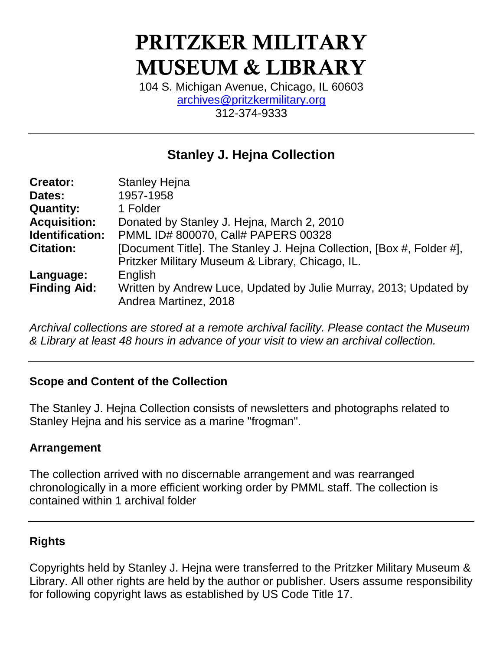# **PRITZKER MILITARY MUSEUM & LIBRARY**

104 S. Michigan Avenue, Chicago, IL 60603 [archives@pritzkermilitary.org](mailto:archives@pritzkermilitary.org) 312-374-9333

# **Stanley J. Hejna Collection**

| <b>Stanley Hejna</b>                                                  |
|-----------------------------------------------------------------------|
| 1957-1958                                                             |
| 1 Folder                                                              |
| Donated by Stanley J. Hejna, March 2, 2010                            |
| PMML ID# 800070, Call# PAPERS 00328                                   |
| [Document Title]. The Stanley J. Hejna Collection, [Box #, Folder #], |
| Pritzker Military Museum & Library, Chicago, IL.                      |
| English                                                               |
| Written by Andrew Luce, Updated by Julie Murray, 2013; Updated by     |
| Andrea Martinez, 2018                                                 |
|                                                                       |

*Archival collections are stored at a remote archival facility. Please contact the Museum & Library at least 48 hours in advance of your visit to view an archival collection.*

#### **Scope and Content of the Collection**

The Stanley J. Hejna Collection consists of newsletters and photographs related to Stanley Hejna and his service as a marine "frogman".

#### **Arrangement**

The collection arrived with no discernable arrangement and was rearranged chronologically in a more efficient working order by PMML staff. The collection is contained within 1 archival folder

# **Rights**

Copyrights held by Stanley J. Hejna were transferred to the Pritzker Military Museum & Library. All other rights are held by the author or publisher. Users assume responsibility for following copyright laws as established by US Code Title 17.